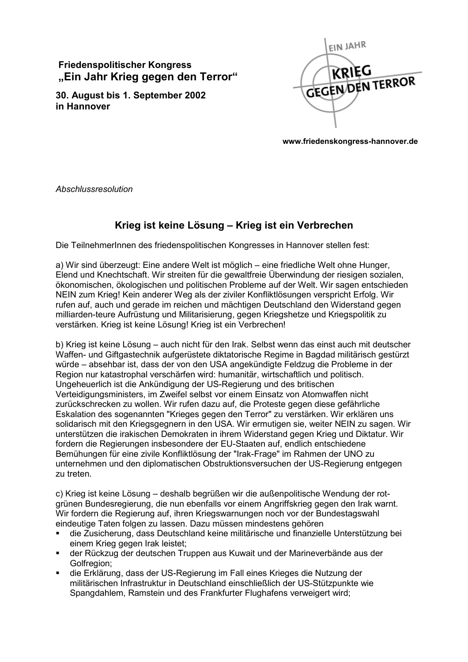## **Friedenspolitischer Kongress** "Ein Jahr Krieg gegen den Terror"

30. August bis 1. September 2002 in Hannover



www.friedenskongress-hannover.de

Abschlussresolution

## Krieg ist keine Lösung - Krieg ist ein Verbrechen

Die TeilnehmerInnen des friedenspolitischen Kongresses in Hannover stellen fest:

a) Wir sind überzeugt: Eine andere Welt ist möglich – eine friedliche Welt ohne Hunger, Elend und Knechtschaft. Wir streiten für die gewaltfreie Überwindung der riesigen sozialen, ökonomischen, ökologischen und politischen Probleme auf der Welt. Wir sagen entschieden NEIN zum Krieg! Kein anderer Weg als der ziviler Konfliktlösungen verspricht Erfolg. Wir rufen auf, auch und gerade im reichen und mächtigen Deutschland den Widerstand gegen milliarden-teure Aufrüstung und Militarisierung, gegen Kriegshetze und Kriegspolitik zu verstärken. Krieg ist keine Lösung! Krieg ist ein Verbrechen!

b) Krieg ist keine Lösung – auch nicht für den Irak. Selbst wenn das einst auch mit deutscher Waffen- und Giftgastechnik aufgerüstete diktatorische Regime in Bagdad militärisch gestürzt würde – absehbar ist, dass der von den USA angekündigte Feldzug die Probleme in der Region nur katastrophal verschärfen wird: humanitär, wirtschaftlich und politisch. Ungeheuerlich ist die Ankündigung der US-Regierung und des britischen Verteidigungsministers, im Zweifel selbst vor einem Einsatz von Atomwaffen nicht zurückschrecken zu wollen. Wir rufen dazu auf, die Proteste gegen diese gefährliche Eskalation des sogenannten "Krieges gegen den Terror" zu verstärken. Wir erklären uns solidarisch mit den Kriegsgegnern in den USA. Wir ermutigen sie, weiter NEIN zu sagen. Wir unterstützen die irakischen Demokraten in ihrem Widerstand gegen Krieg und Diktatur. Wir fordern die Regierungen insbesondere der EU-Staaten auf, endlich entschiedene Bemühungen für eine zivile Konfliktlösung der "Irak-Frage" im Rahmen der UNO zu unternehmen und den diplomatischen Obstruktionsversuchen der US-Regierung entgegen zu treten.

c) Krieg ist keine Lösung – deshalb begrüßen wir die außenpolitische Wendung der rotgrünen Bundesregierung, die nun ebenfalls vor einem Angriffskrieg gegen den Irak warnt. Wir fordern die Regierung auf, ihren Kriegswarnungen noch vor der Bundestagswahl eindeutige Taten folgen zu lassen. Dazu müssen mindestens gehören

- die Zusicherung, dass Deutschland keine militärische und finanzielle Unterstützung bei einem Krieg gegen Irak leistet:
- der Rückzug der deutschen Truppen aus Kuwait und der Marineverbände aus der Golfregion;
- die Erklärung, dass der US-Regierung im Fall eines Krieges die Nutzung der militärischen Infrastruktur in Deutschland einschließlich der US-Stützpunkte wie Spangdahlem. Ramstein und des Frankfurter Flughafens verweigert wird: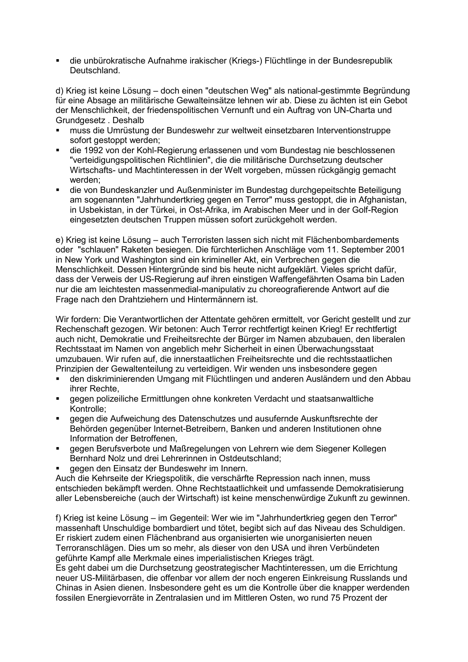die unbürokratische Aufnahme irakischer (Kriegs-) Flüchtlinge in der Bundesrepublik Deutschland.

d) Krieg ist keine Lösung – doch einen "deutschen Weg" als national-gestimmte Begründung für eine Absage an militärische Gewalteinsätze lehnen wir ab. Diese zu ächten ist ein Gebot der Menschlichkeit, der friedenspolitischen Vernunft und ein Auftrag von UN-Charta und Grundgesetz, Deshalb

- muss die Umrüstung der Bundeswehr zur weltweit einsetzbaren Interventionstruppe sofort gestoppt werden;
- die 1992 von der Kohl-Regierung erlassenen und vom Bundestag nie beschlossenen "verteidigungspolitischen Richtlinien", die die militärische Durchsetzung deutscher Wirtschafts- und Machtinteressen in der Welt vorgeben, müssen rückgängig gemacht werden:
- die von Bundeskanzler und Außenminister im Bundestag durchgepeitschte Beteiligung am sogenannten "Jahrhundertkrieg gegen en Terror" muss gestoppt, die in Afghanistan, in Usbekistan, in der Türkei, in Ost-Afrika, im Arabischen Meer und in der Golf-Region eingesetzten deutschen Truppen müssen sofort zurückgeholt werden.

e) Krieg ist keine Lösung – auch Terroristen lassen sich nicht mit Flächenbombardements oder "schlauen" Raketen besiegen. Die fürchterlichen Anschläge vom 11. September 2001 in New York und Washington sind ein krimineller Akt, ein Verbrechen gegen die Menschlichkeit. Dessen Hintergründe sind bis heute nicht aufgeklärt. Vieles spricht dafür, dass der Verweis der US-Regierung auf ihren einstigen Waffengefährten Osama bin Laden nur die am leichtesten massenmedial-manipulativ zu choreografierende Antwort auf die Frage nach den Drahtziehern und Hintermännern ist.

Wir fordern: Die Verantwortlichen der Attentate gehören ermittelt, vor Gericht gestellt und zur Rechenschaft gezogen. Wir betonen: Auch Terror rechtfertigt keinen Krieg! Er rechtfertigt auch nicht, Demokratie und Freiheitsrechte der Bürger im Namen abzubauen, den liberalen Rechtsstaat im Namen von angeblich mehr Sicherheit in einen Überwachungsstaat umzubauen. Wir rufen auf, die innerstaatlichen Freiheitsrechte und die rechtsstaatlichen Prinzipien der Gewaltenteilung zu verteidigen. Wir wenden uns insbesondere gegen

- den diskriminierenden Umgang mit Flüchtlingen und anderen Ausländern und den Abbau ihrer Rechte.
- gegen polizeiliche Ermittlungen ohne konkreten Verdacht und staatsanwaltliche Kontrolle:
- gegen die Aufweichung des Datenschutzes und ausufernde Auskunftsrechte der Behörden gegenüber Internet-Betreibern. Banken und anderen Institutionen ohne Information der Betroffenen.
- gegen Berufsverbote und Maßregelungen von Lehrern wie dem Siegener Kollegen Bernhard Nolz und drei Lehrerinnen in Ostdeutschland;
- gegen den Einsatz der Bundeswehr im Innern.

Auch die Kehrseite der Kriegspolitik, die verschärfte Repression nach innen, muss entschieden bekämpft werden. Ohne Rechtstaatlichkeit und umfassende Demokratisierung aller Lebensbereiche (auch der Wirtschaft) ist keine menschenwürdige Zukunft zu gewinnen.

f) Krieg ist keine Lösung – im Gegenteil: Wer wie im "Jahrhundertkrieg gegen den Terror" massenhaft Unschuldige bombardiert und tötet, begibt sich auf das Niveau des Schuldigen. Er riskiert zudem einen Flächenbrand aus organisierten wie unorganisierten neuen Terroranschlägen. Dies um so mehr, als dieser von den USA und ihren Verbündeten geführte Kampf alle Merkmale eines imperialistischen Krieges trägt.

Es geht dabei um die Durchsetzung geostrategischer Machtinteressen, um die Errichtung neuer US-Militärbasen, die offenbar vor allem der noch engeren Einkreisung Russlands und Chinas in Asien dienen. Insbesondere geht es um die Kontrolle über die knapper werdenden fossilen Energievorräte in Zentralasien und im Mittleren Osten, wo rund 75 Prozent der